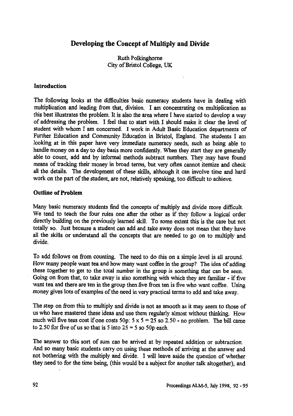# **Developing the Concept of Multiply and Divide**

Ruth Polkinghorne City of Bristol College, UK

### **Introduction**

The following looks at the difficulties basic numeracy students have in dealing with multiplication and leading from that, division. I am concentrating on multiplication as this best illustrates the problem. It is also the area where I have started to develop a way of addressing the problem. I feel that to start with I should make it clear the level of student with whom I am concerned. I work in Adult Basic Education departments of Further Education and Community Education in Bristol, England. The students I am looking at in this paper have very immediate numeracy needs, such as being able to handle money on a day to day basis more confidently. When they start they are generally able to count, add and by informal methods subtract numbers. They may have found means of tracking their money in broad terms, but very often cannot itemize and check all the details. The development of these skills, although it can involve time and hard work on the part of the student, are not, relatively speaking, too difficult to achieve.

#### **Outline of Problem**

Many basic numeracy students find the concepts of multiply and divide more difficult. We tend to teach the four rules one after the other as if they follow a logical order directly building on the previously learned skill. To some extent this is the case but not totally so. Just because a student can add and take away does not mean that they have all the skills or understand all the concepts that are needed to go on to multiply and divide.

To add follows on from counting. The need to do this on a simple level is all around. How many people want tea and how many want coffee in the group? The idea of adding these together to get to the total number in the group is something that can be seen. Going on from that, to take away is also something with which they are familiar - if five want tea and there are ten in the group then five from ten is five who want coffee. Using money gives lots of examples of the need in very practical terms to add and take away.

The step on from this to multiply and divide is not as smooth as it may seem to those of us who have mastered these ideas and use them regularly almost without thinking. How much will five teas cost if one costs 50p:  $5 \times 5 = 25$  so 2.50 - no problem. The bill came to 2.50 for five of us so that is 5 into  $25 = 5$  so 50p each.

The answer to this sort of sum can be arrived at by repeated addition or subtraction. And so many basic students carry on using these methods of arriving at the answer and not bothering with the multiply *and* divide. I will leave aside the question of whether they need to for the time being, (this would be a subject for another talk altogether), and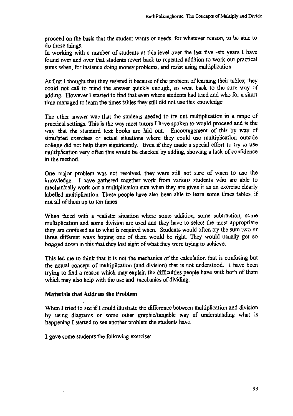proceed on the basis that the student wants or needs, for whatever reason, to be able to do these things.

In working with a number of students at this level over the last five -six years I have found over and over that students revert back to repeated addition to work out practical sums when, for instance doing money problems, and resist using multiplication.

At first I thought that they resisted it because of the problem of learning their tables; they could not call to mind the answer quickly enough, so went back to the sure way of adding. However **I** started to find that even where students had tried and who for a short time managed to learn the times tables they still did not use this knowledge.

The other answer was that the students needed to try out multiplication in a range of practical settings. This is the way most tutors I have spoken to would proceed and is the way that the standard text books are laid out. Encouragement of this by way of simulated exercises or actual situations where they could use multiplication outside college did not help them significantly. Even if they made a special effort to try to use multiplication very often this would be checked by adding, showing a lack of confidence in the method.

One major problem was not resolved, they were still not sure of when to use the knowledge. I have gathered together work from various students who are able to mechanically work out a multiplication sum when they are given it as an exercise clearly labelled multiplication. These people have also been able to learn some times tables, if not all of them up to ten times.

When faced with a realistic situation where some addition, some subtraction, some multiplication and some division are used and they have to select the most appropriate they are confused as to what is required when. Students would often try the sum two or three different ways hoping one of them would be right. They would usually get so bogged down in this that they lost sight of what they were trying to achieve.

This led me to think that it is not the mechanics of the calculation that is confusing but the actual concept of multiplication (and division) that is not understood. I have been trying to find a reason which may explain the difficulties people have with both of them which may also help with the use and mechanics of dividing.

# **Materials that Address the Problem**

**When I** tried to see if I could illustrate the difference between multiplication and division by using diagrams or some other graphic/tangible way of understanding what is happening I started to see another problem the students have.

I gave some students the following exercise: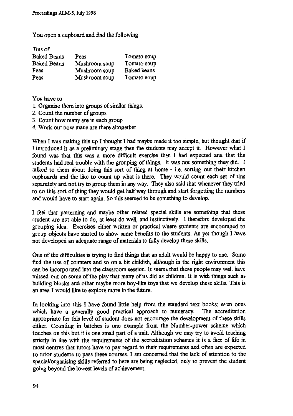**You open a cupboard and find the following:**

| Tins of:           |               |                    |
|--------------------|---------------|--------------------|
| <b>Baked Beans</b> | Peas          | Tomato soup        |
| <b>Baked Beans</b> | Mushroom soup | Tomato soup        |
| Peas               | Mushroom soup | <b>Baked</b> beans |
| Peas               | Mushroom soup | Tomato soup        |

**You have to**

- **Organise them into groups of similar things.**
- **2. Count the number of groups**
- **3. Count how many are in each group**
- **4, Work out how many are there altogether**

**When I was making this up I thought I had maybe made it too simple, but thought that if I introduced it as a preliminary stage then the students may accept it. However what I found was that this was a more difficult exercise than I had expected and that the students had real trouble with the grouping of things. It was not something they did. I talked to them about doing this sort of thing at home - i.e. sorting out their kitchen cupboards and the like to count up what is there. They would count each set of tins separately and not try to group them in any way. They also said that whenever they tried to do this sort of thing they would get half way through and start forgetting the numbers and would have to start again. So this seemed to be something to develop.**

**I feel that patterning and maybe other related special skills are something that these student are not able to do, at least do well, and instinctively. I therefore developed the grouping idea. Exercises either written or practical where students are encouraged to** group **objects have started to show some benefits to the students. As yet though I have not developed an adequate range of materials to fully develop these skills.**

**One of the difficulties is trying to find things that an adult would be happy to use. Some find the use of counters and so on a bit childish, although in the right environment this can be incorporated into the classroom session. It seems that these people may well have missed out on some of the play that many of us did as children. It is with things such as building blocks and other maybe more boy-like toys that we develop these skills. This is an area I would like to explore more in the future.**

**In looking into this I have found little help from the standard text books; even ones which have a generally good practical approach to numeracy. The accreditation appropriate for this level of student does not encourage the development of these skills either. Counting in batches is one example from the Number-power scheme which touches on this but it is one small part of a unit. Although we may try to avoid teaching strictly in line with the requirements of the accreditation schemes it is a fact of life in most centres that tutors have to pay regard to their requirements and often are expected to tutor students to pass these courses. I am concerned that the lack of attention to the spacial/organising skills referred to here are being neglected, only to prevent the student going beyond the lowest levels of achievement.**